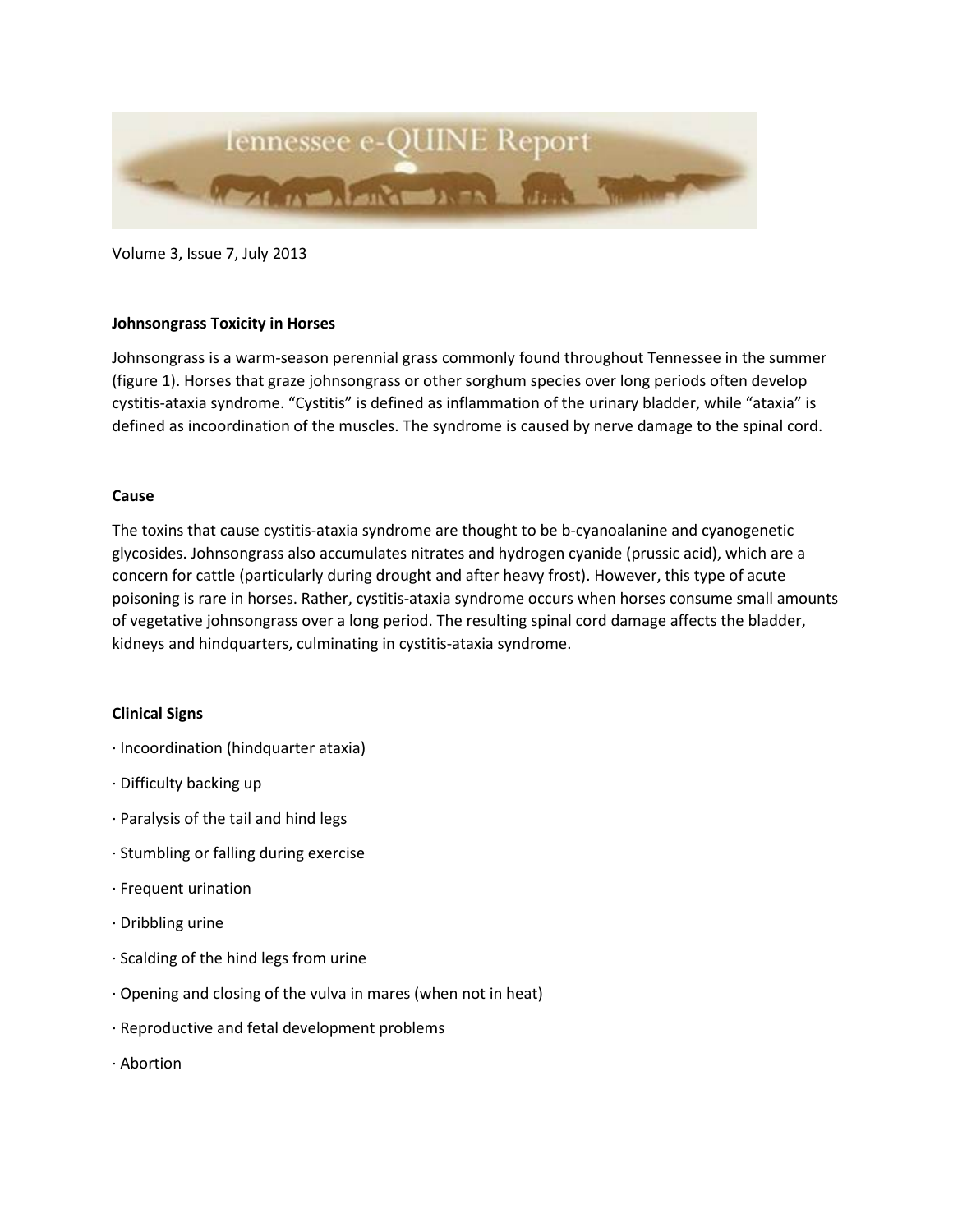

Volume 3, Issue 7, July 2013

## **Johnsongrass Toxicity in Horses**

Johnsongrass is a warm-season perennial grass commonly found throughout Tennessee in the summer (figure 1). Horses that graze johnsongrass or other sorghum species over long periods often develop cystitis-ataxia syndrome. "Cystitis" is defined as inflammation of the urinary bladder, while "ataxia" is defined as incoordination of the muscles. The syndrome is caused by nerve damage to the spinal cord.

## **Cause**

The toxins that cause cystitis-ataxia syndrome are thought to be b-cyanoalanine and cyanogenetic glycosides. Johnsongrass also accumulates nitrates and hydrogen cyanide (prussic acid), which are a concern for cattle (particularly during drought and after heavy frost). However, this type of acute poisoning is rare in horses. Rather, cystitis-ataxia syndrome occurs when horses consume small amounts of vegetative johnsongrass over a long period. The resulting spinal cord damage affects the bladder, kidneys and hindquarters, culminating in cystitis-ataxia syndrome.

#### **Clinical Signs**

- · Incoordination (hindquarter ataxia)
- · Difficulty backing up
- · Paralysis of the tail and hind legs
- · Stumbling or falling during exercise
- · Frequent urination
- · Dribbling urine
- · Scalding of the hind legs from urine
- · Opening and closing of the vulva in mares (when not in heat)
- · Reproductive and fetal development problems
- · Abortion